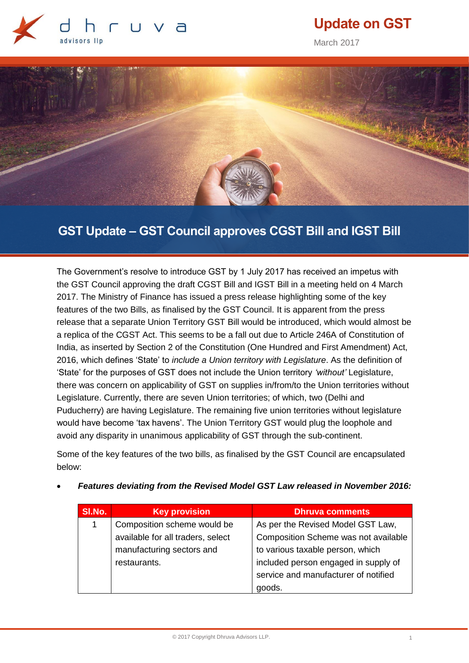

# **Update on GST**

March 2017



## **GST Update – GST Council approves CGST Bill and IGST Bill**

The Government's resolve to introduce GST by 1 July 2017 has received an impetus with the GST Council approving the draft CGST Bill and IGST Bill in a meeting held on 4 March 2017. The Ministry of Finance has issued a press release highlighting some of the key features of the two Bills, as finalised by the GST Council. It is apparent from the press release that a separate Union Territory GST Bill would be introduced, which would almost be a replica of the CGST Act. This seems to be a fall out due to Article 246A of Constitution of India, as inserted by Section 2 of the Constitution (One Hundred and First Amendment) Act, 2016, which defines 'State' to *include a Union territory with Legislature*. As the definition of 'State' for the purposes of GST does not include the Union territory *'without'* Legislature, there was concern on applicability of GST on supplies in/from/to the Union territories without Legislature. Currently, there are seven Union territories; of which, two (Delhi and Puducherry) are having Legislature. The remaining five union territories without legislature would have become 'tax havens'. The Union Territory GST would plug the loophole and avoid any disparity in unanimous applicability of GST through the sub-continent.

Some of the key features of the two bills, as finalised by the GST Council are encapsulated below:

| SI.No. | <b>Key provision</b>              | <b>Dhruva comments</b>               |
|--------|-----------------------------------|--------------------------------------|
| 1      | Composition scheme would be       | As per the Revised Model GST Law,    |
|        | available for all traders, select | Composition Scheme was not available |
|        | manufacturing sectors and         | to various taxable person, which     |
|        | restaurants.                      | included person engaged in supply of |
|        |                                   | service and manufacturer of notified |
|        |                                   | goods.                               |

*Features deviating from the Revised Model GST Law released in November 2016:*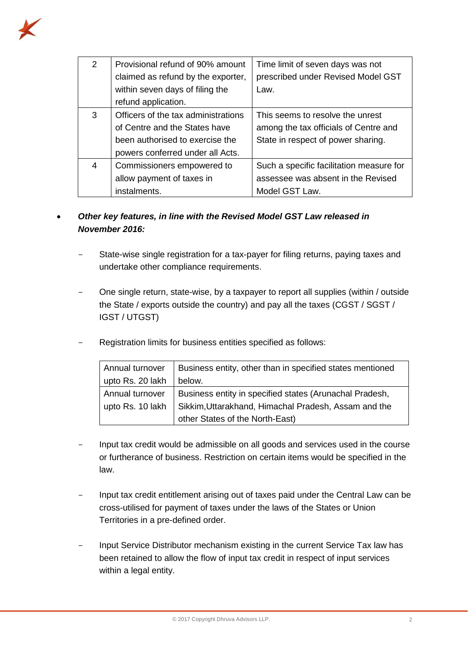

| 2 | Provisional refund of 90% amount<br>claimed as refund by the exporter,<br>within seven days of filing the<br>refund application.            | Time limit of seven days was not<br>prescribed under Revised Model GST<br>Law.                                  |
|---|---------------------------------------------------------------------------------------------------------------------------------------------|-----------------------------------------------------------------------------------------------------------------|
| 3 | Officers of the tax administrations<br>of Centre and the States have<br>been authorised to exercise the<br>powers conferred under all Acts. | This seems to resolve the unrest<br>among the tax officials of Centre and<br>State in respect of power sharing. |
| 4 | Commissioners empowered to<br>allow payment of taxes in<br>instalments.                                                                     | Such a specific facilitation measure for<br>assessee was absent in the Revised<br>Model GST Law.                |

### *Other key features, in line with the Revised Model GST Law released in November 2016:*

- State-wise single registration for a tax-payer for filing returns, paying taxes and undertake other compliance requirements.
- One single return, state-wise, by a taxpayer to report all supplies (within / outside the State / exports outside the country) and pay all the taxes (CGST / SGST / IGST / UTGST)
- Registration limits for business entities specified as follows:

| Annual turnover  | Business entity, other than in specified states mentioned |
|------------------|-----------------------------------------------------------|
| upto Rs. 20 lakh | below.                                                    |
| Annual turnover  | Business entity in specified states (Arunachal Pradesh,   |
| upto Rs. 10 lakh | Sikkim, Uttarakhand, Himachal Pradesh, Assam and the      |
|                  | other States of the North-East)                           |

- Input tax credit would be admissible on all goods and services used in the course or furtherance of business. Restriction on certain items would be specified in the law.
- Input tax credit entitlement arising out of taxes paid under the Central Law can be cross-utilised for payment of taxes under the laws of the States or Union Territories in a pre-defined order.
- Input Service Distributor mechanism existing in the current Service Tax law has been retained to allow the flow of input tax credit in respect of input services within a legal entity.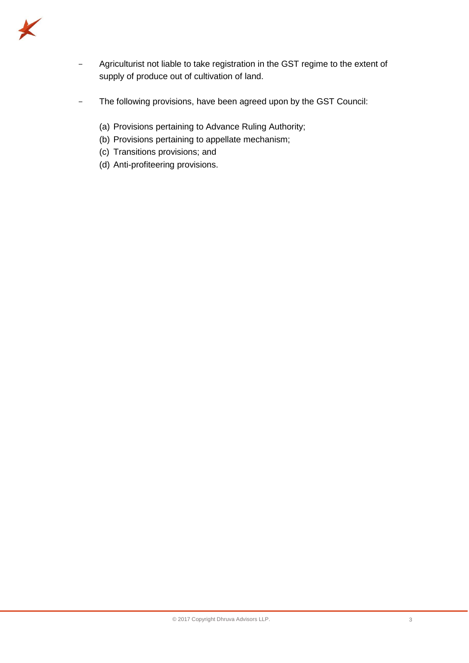

- Agriculturist not liable to take registration in the GST regime to the extent of supply of produce out of cultivation of land.
- The following provisions, have been agreed upon by the GST Council:
	- (a) Provisions pertaining to Advance Ruling Authority;
	- (b) Provisions pertaining to appellate mechanism;
	- (c) Transitions provisions; and
	- (d) Anti-profiteering provisions.